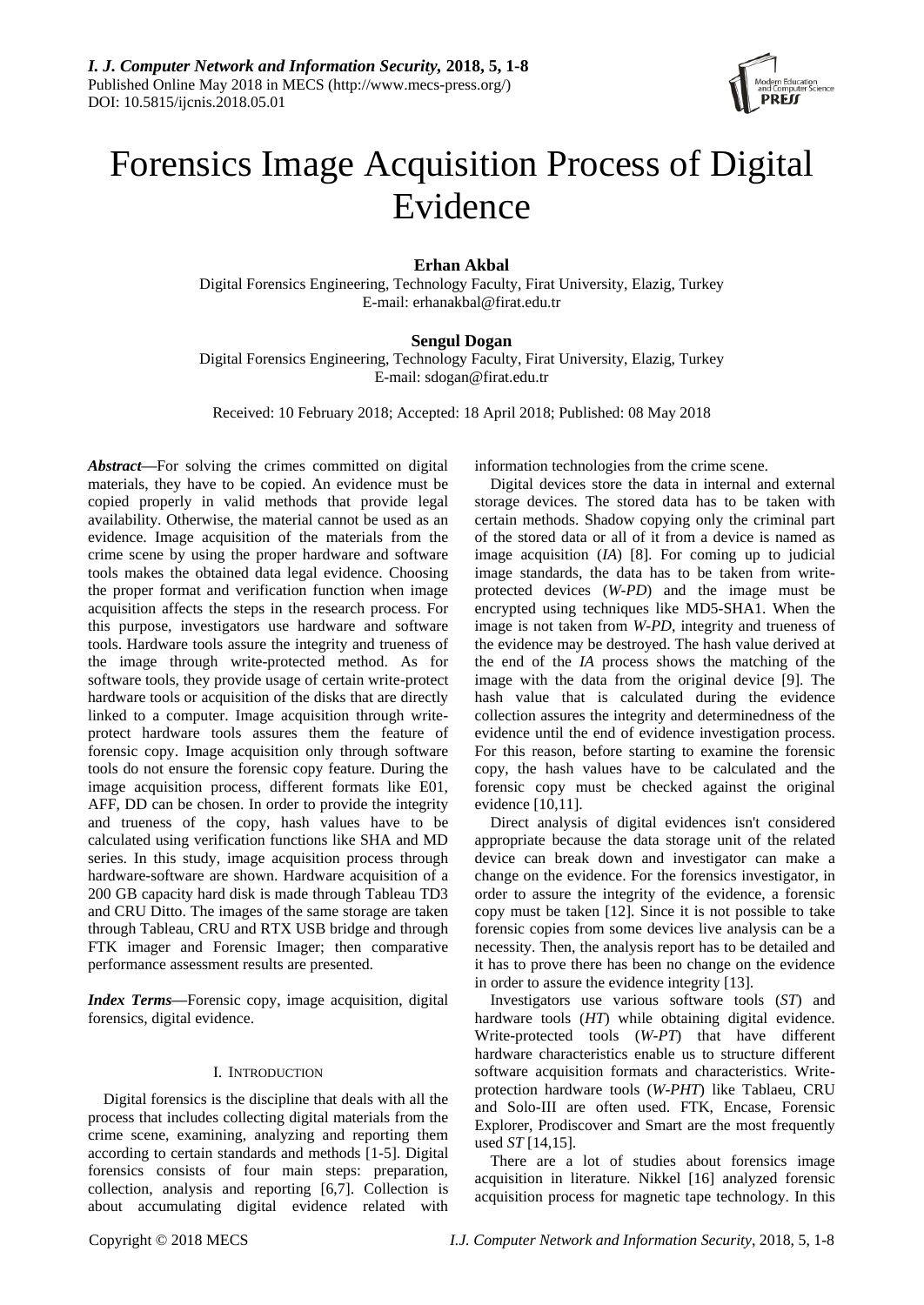

# Forensics Image Acquisition Process of Digital Evidence

**Erhan Akbal**

Digital Forensics Engineering, Technology Faculty, Firat University, Elazig, Turkey E-mail: erhanakbal@firat.edu.tr

# **Sengul Dogan**

Digital Forensics Engineering, Technology Faculty, Firat University, Elazig, Turkey E-mail: sdogan@firat.edu.tr

Received: 10 February 2018; Accepted: 18 April 2018; Published: 08 May 2018

*Abstract***—**For solving the crimes committed on digital materials, they have to be copied. An evidence must be copied properly in valid methods that provide legal availability. Otherwise, the material cannot be used as an evidence. Image acquisition of the materials from the crime scene by using the proper hardware and software tools makes the obtained data legal evidence. Choosing the proper format and verification function when image acquisition affects the steps in the research process. For this purpose, investigators use hardware and software tools. Hardware tools assure the integrity and trueness of the image through write-protected method. As for software tools, they provide usage of certain write-protect hardware tools or acquisition of the disks that are directly linked to a computer. Image acquisition through writeprotect hardware tools assures them the feature of forensic copy. Image acquisition only through software tools do not ensure the forensic copy feature. During the image acquisition process, different formats like E01, AFF, DD can be chosen. In order to provide the integrity and trueness of the copy, hash values have to be calculated using verification functions like SHA and MD series. In this study, image acquisition process through hardware-software are shown. Hardware acquisition of a 200 GB capacity hard disk is made through Tableau TD3 and CRU Ditto. The images of the same storage are taken through Tableau, CRU and RTX USB bridge and through FTK imager and Forensic Imager; then comparative performance assessment results are presented.

*Index Terms***—**Forensic copy, image acquisition, digital forensics, digital evidence.

## I. INTRODUCTION

Digital forensics is the discipline that deals with all the process that includes collecting digital materials from the crime scene, examining, analyzing and reporting them according to certain standards and methods [1-5]. Digital forensics consists of four main steps: preparation, collection, analysis and reporting [6,7]. Collection is about accumulating digital evidence related with

information technologies from the crime scene.

Digital devices store the data in internal and external storage devices. The stored data has to be taken with certain methods. Shadow copying only the criminal part of the stored data or all of it from a device is named as image acquisition (*IA*) [8]. For coming up to judicial image standards, the data has to be taken from writeprotected devices (*W-PD*) and the image must be encrypted using techniques like MD5-SHA1. When the image is not taken from *W-PD*, integrity and trueness of the evidence may be destroyed. The hash value derived at the end of the *IA* process shows the matching of the image with the data from the original device [9]. The hash value that is calculated during the evidence collection assures the integrity and determinedness of the evidence until the end of evidence investigation process. For this reason, before starting to examine the forensic copy, the hash values have to be calculated and the forensic copy must be checked against the original evidence [10,11].

Direct analysis of digital evidences isn't considered appropriate because the data storage unit of the related device can break down and investigator can make a change on the evidence. For the forensics investigator, in order to assure the integrity of the evidence, a forensic copy must be taken [12]. Since it is not possible to take forensic copies from some devices live analysis can be a necessity. Then, the analysis report has to be detailed and it has to prove there has been no change on the evidence in order to assure the evidence integrity [13].

Investigators use various software tools (*ST*) and hardware tools (*HT*) while obtaining digital evidence. Write-protected tools (*W-PT*) that have different hardware characteristics enable us to structure different software acquisition formats and characteristics. Writeprotection hardware tools (*W-PHT*) like Tablaeu, CRU and Solo-III are often used. FTK, Encase, Forensic Explorer, Prodiscover and Smart are the most frequently used *ST* [14,15].

There are a lot of studies about forensics image acquisition in literature. Nikkel [16] analyzed forensic acquisition process for magnetic tape technology. In this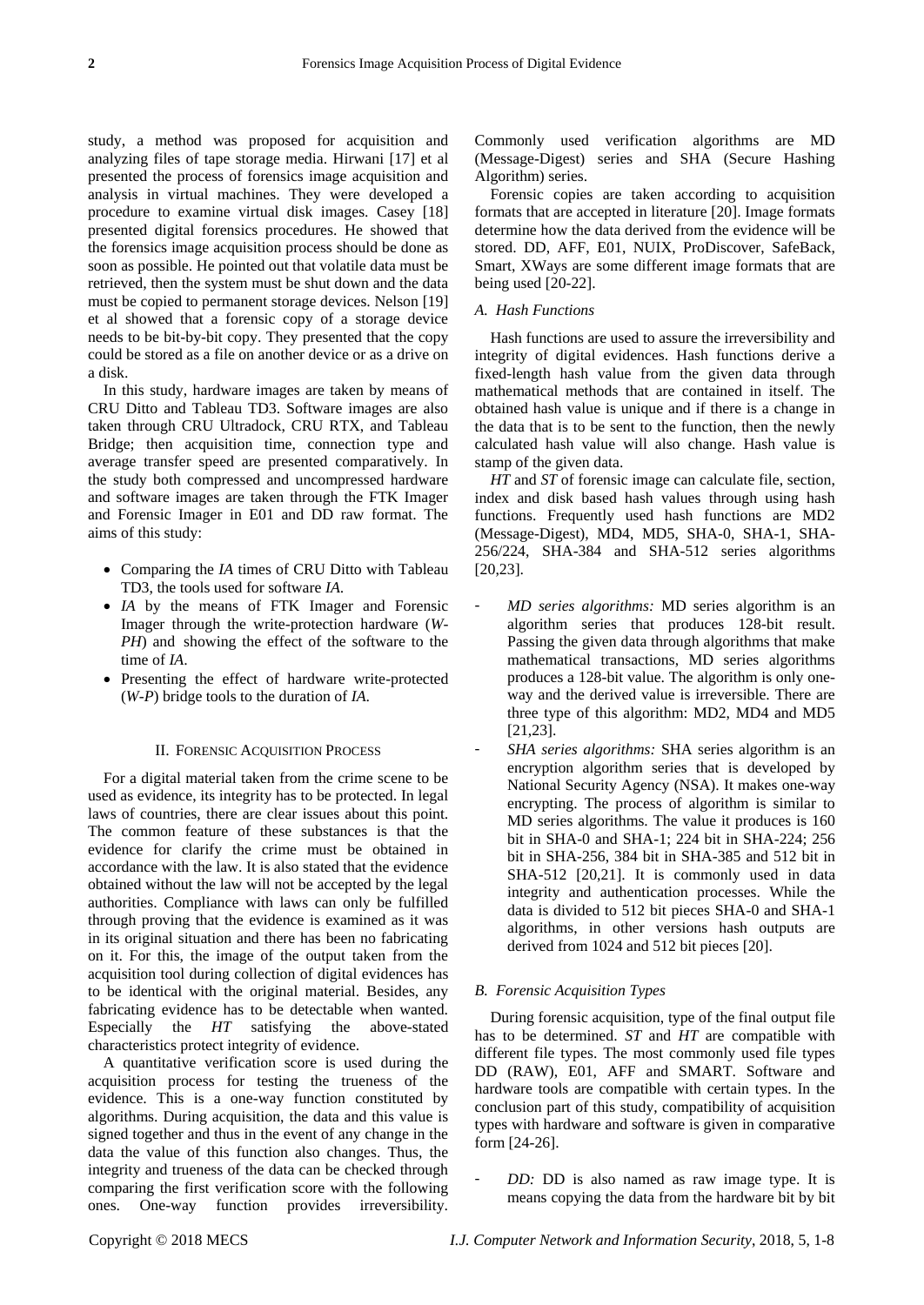study, a method was proposed for acquisition and analyzing files of tape storage media. Hirwani [17] et al presented the process of forensics image acquisition and analysis in virtual machines. They were developed a procedure to examine virtual disk images. Casey [18] presented digital forensics procedures. He showed that the forensics image acquisition process should be done as soon as possible. He pointed out that volatile data must be retrieved, then the system must be shut down and the data must be copied to permanent storage devices. Nelson [19] et al showed that a forensic copy of a storage device needs to be bit-by-bit copy. They presented that the copy could be stored as a file on another device or as a drive on a disk.

In this study, hardware images are taken by means of CRU Ditto and Tableau TD3. Software images are also taken through CRU Ultradock, CRU RTX, and Tableau Bridge; then acquisition time, connection type and average transfer speed are presented comparatively. In the study both compressed and uncompressed hardware and software images are taken through the FTK Imager and Forensic Imager in E01 and DD raw format. The aims of this study:

- Comparing the *IA* times of CRU Ditto with Tableau TD3, the tools used for software *IA*.
- *IA* by the means of FTK Imager and Forensic Imager through the write-protection hardware (*W-PH*) and showing the effect of the software to the time of *IA*.
- Presenting the effect of hardware write-protected (*W-P*) bridge tools to the duration of *IA*.

#### II. FORENSIC ACQUISITION PROCESS

For a digital material taken from the crime scene to be used as evidence, its integrity has to be protected. In legal laws of countries, there are clear issues about this point. The common feature of these substances is that the evidence for clarify the crime must be obtained in accordance with the law. It is also stated that the evidence obtained without the law will not be accepted by the legal authorities. Compliance with laws can only be fulfilled through proving that the evidence is examined as it was in its original situation and there has been no fabricating on it. For this, the image of the output taken from the acquisition tool during collection of digital evidences has to be identical with the original material. Besides, any fabricating evidence has to be detectable when wanted. Especially the *HT* satisfying the above-stated characteristics protect integrity of evidence.

A quantitative verification score is used during the acquisition process for testing the trueness of the evidence. This is a one-way function constituted by algorithms. During acquisition, the data and this value is signed together and thus in the event of any change in the data the value of this function also changes. Thus, the integrity and trueness of the data can be checked through comparing the first verification score with the following ones. One-way function provides irreversibility.

Commonly used verification algorithms are MD (Message-Digest) series and SHA (Secure Hashing Algorithm) series.

Forensic copies are taken according to acquisition formats that are accepted in literature [20]. Image formats determine how the data derived from the evidence will be stored. DD, AFF, E01, NUIX, ProDiscover, SafeBack, Smart, XWays are some different image formats that are being used [20-22].

#### *A. Hash Functions*

Hash functions are used to assure the irreversibility and integrity of digital evidences. Hash functions derive a fixed-length hash value from the given data through mathematical methods that are contained in itself. The obtained hash value is unique and if there is a change in the data that is to be sent to the function, then the newly calculated hash value will also change. Hash value is stamp of the given data.

*HT* and *ST* of forensic image can calculate file, section, index and disk based hash values through using hash functions. Frequently used hash functions are MD2 (Message-Digest), MD4, MD5, SHA-0, SHA-1, SHA-256/224, SHA-384 and SHA-512 series algorithms [20,23].

- *MD series algorithms:* MD series algorithm is an algorithm series that produces 128-bit result. Passing the given data through algorithms that make mathematical transactions, MD series algorithms produces a 128-bit value. The algorithm is only oneway and the derived value is irreversible. There are three type of this algorithm: MD2, MD4 and MD5 [21,23].
- *SHA series algorithms:* SHA series algorithm is an encryption algorithm series that is developed by National Security Agency (NSA). It makes one-way encrypting. The process of algorithm is similar to MD series algorithms. The value it produces is 160 bit in SHA-0 and SHA-1; 224 bit in SHA-224; 256 bit in SHA-256, 384 bit in SHA-385 and 512 bit in SHA-512 [20,21]. It is commonly used in data integrity and authentication processes. While the data is divided to 512 bit pieces SHA-0 and SHA-1 algorithms, in other versions hash outputs are derived from 1024 and 512 bit pieces [20].

#### *B. Forensic Acquisition Types*

During forensic acquisition, type of the final output file has to be determined. *ST* and *HT* are compatible with different file types. The most commonly used file types DD (RAW), E01, AFF and SMART. Software and hardware tools are compatible with certain types. In the conclusion part of this study, compatibility of acquisition types with hardware and software is given in comparative form [24-26].

 *DD:* DD is also named as raw image type. It is means copying the data from the hardware bit by bit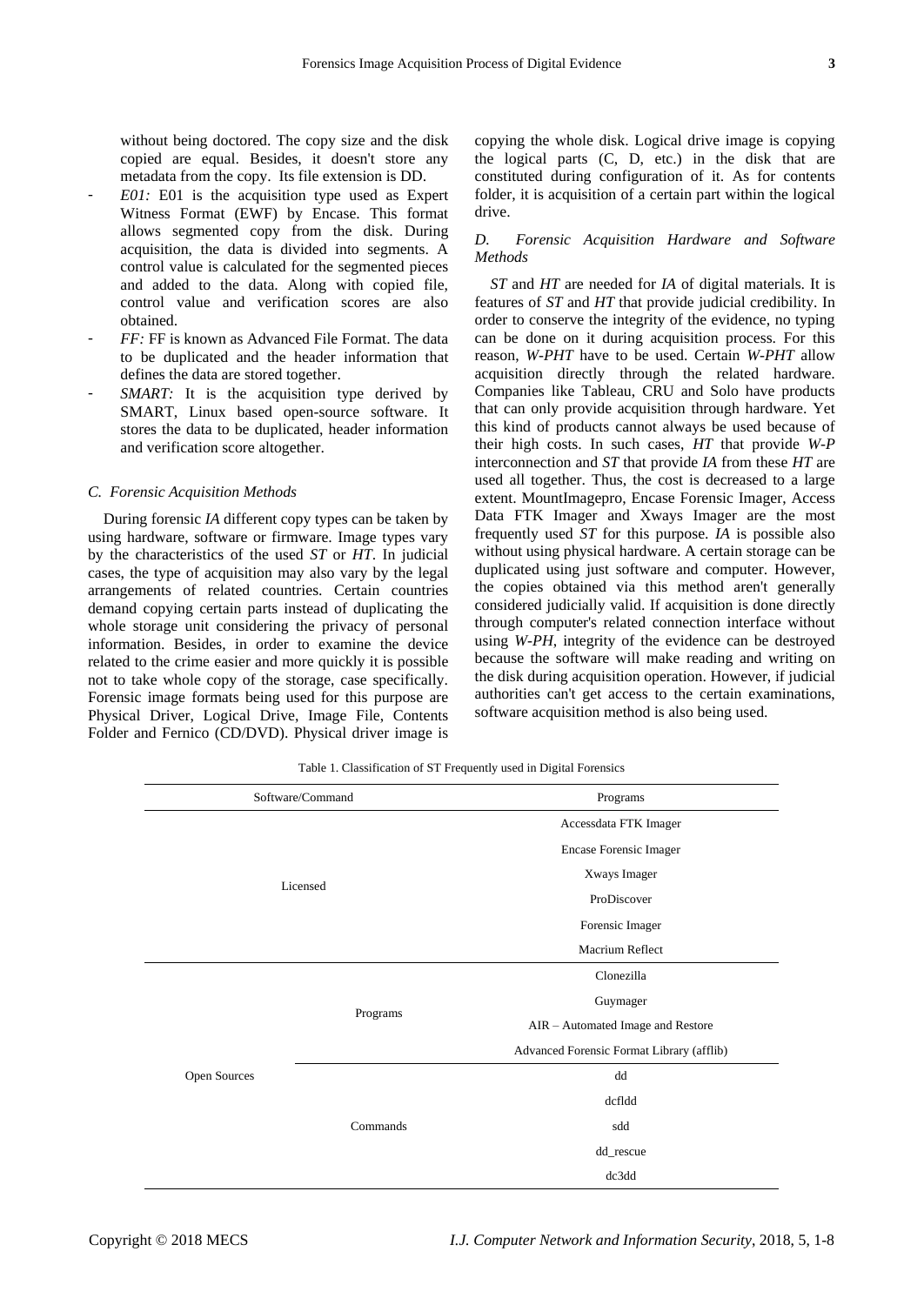without being doctored. The copy size and the disk copied are equal. Besides, it doesn't store any metadata from the copy. Its file extension is DD.

- *E01*: E01 is the acquisition type used as Expert Witness Format (EWF) by Encase. This format allows segmented copy from the disk. During acquisition, the data is divided into segments. A control value is calculated for the segmented pieces and added to the data. Along with copied file, control value and verification scores are also obtained.
- *FF*: FF is known as Advanced File Format. The data to be duplicated and the header information that defines the data are stored together.
- *SMART:* It is the acquisition type derived by SMART, Linux based open-source software. It stores the data to be duplicated, header information and verification score altogether.

#### *C. Forensic Acquisition Methods*

During forensic *IA* different copy types can be taken by using hardware, software or firmware. Image types vary by the characteristics of the used *ST* or *HT*. In judicial cases, the type of acquisition may also vary by the legal arrangements of related countries. Certain countries demand copying certain parts instead of duplicating the whole storage unit considering the privacy of personal information. Besides, in order to examine the device related to the crime easier and more quickly it is possible not to take whole copy of the storage, case specifically. Forensic image formats being used for this purpose are Physical Driver, Logical Drive, Image File, Contents Folder and Fernico (CD/DVD). Physical driver image is copying the whole disk. Logical drive image is copying the logical parts (C, D, etc.) in the disk that are constituted during configuration of it. As for contents folder, it is acquisition of a certain part within the logical drive.

# *D. Forensic Acquisition Hardware and Software Methods*

*ST* and *HT* are needed for *IA* of digital materials. It is features of *ST* and *HT* that provide judicial credibility. In order to conserve the integrity of the evidence, no typing can be done on it during acquisition process. For this reason, *W-PHT* have to be used. Certain *W-PHT* allow acquisition directly through the related hardware. Companies like Tableau, CRU and Solo have products that can only provide acquisition through hardware. Yet this kind of products cannot always be used because of their high costs. In such cases, *HT* that provide *W-P* interconnection and *ST* that provide *IA* from these *HT* are used all together. Thus, the cost is decreased to a large extent. MountImagepro, Encase Forensic Imager, Access Data FTK Imager and Xways Imager are the most frequently used *ST* for this purpose. *IA* is possible also without using physical hardware. A certain storage can be duplicated using just software and computer. However, the copies obtained via this method aren't generally considered judicially valid. If acquisition is done directly through computer's related connection interface without using *W-PH*, integrity of the evidence can be destroyed because the software will make reading and writing on the disk during acquisition operation. However, if judicial authorities can't get access to the certain examinations, software acquisition method is also being used.

Table 1. Classification of ST Frequently used in Digital Forensics

|              | Software/Command | Programs                                  |  |  |  |
|--------------|------------------|-------------------------------------------|--|--|--|
|              |                  | Accessdata FTK Imager                     |  |  |  |
|              |                  | <b>Encase Forensic Imager</b>             |  |  |  |
|              |                  | Xways Imager                              |  |  |  |
|              | Licensed         | ProDiscover                               |  |  |  |
|              |                  | Forensic Imager                           |  |  |  |
|              |                  | Macrium Reflect                           |  |  |  |
|              |                  | Clonezilla                                |  |  |  |
|              |                  | Guymager                                  |  |  |  |
|              | Programs         | AIR - Automated Image and Restore         |  |  |  |
|              |                  | Advanced Forensic Format Library (afflib) |  |  |  |
| Open Sources |                  | dd                                        |  |  |  |
|              |                  | dcfldd                                    |  |  |  |
|              | Commands         | sdd                                       |  |  |  |
|              |                  | $\mathrm{dd\_rescue}$                     |  |  |  |
|              |                  | dc3dd                                     |  |  |  |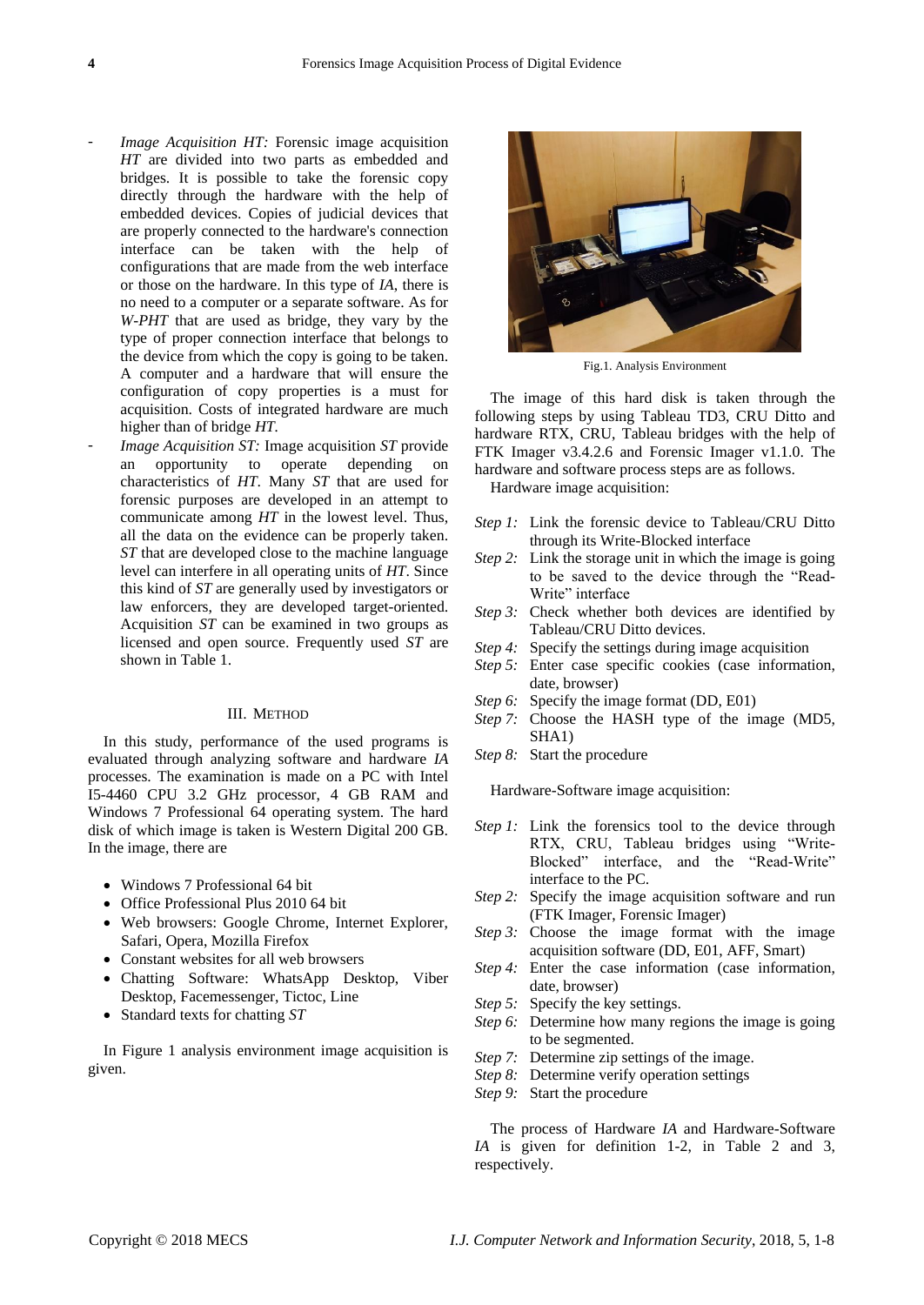- *Image Acquisition HT:* Forensic image acquisition *HT* are divided into two parts as embedded and bridges. It is possible to take the forensic copy directly through the hardware with the help of embedded devices. Copies of judicial devices that are properly connected to the hardware's connection interface can be taken with the help of configurations that are made from the web interface or those on the hardware. In this type of *IA*, there is no need to a computer or a separate software. As for *W-PHT* that are used as bridge, they vary by the type of proper connection interface that belongs to the device from which the copy is going to be taken. A computer and a hardware that will ensure the configuration of copy properties is a must for acquisition. Costs of integrated hardware are much higher than of bridge *HT.*
- *Image Acquisition ST:* Image acquisition *ST* provide an opportunity to operate depending on characteristics of *HT*. Many *ST* that are used for forensic purposes are developed in an attempt to communicate among *HT* in the lowest level. Thus, all the data on the evidence can be properly taken. *ST* that are developed close to the machine language level can interfere in all operating units of *HT*. Since this kind of *ST* are generally used by investigators or law enforcers, they are developed target-oriented. Acquisition *ST* can be examined in two groups as licensed and open source. Frequently used *ST* are shown in Table 1.

#### III. METHOD

In this study, performance of the used programs is evaluated through analyzing software and hardware *IA* processes. The examination is made on a PC with Intel I5-4460 CPU 3.2 GHz processor, 4 GB RAM and Windows 7 Professional 64 operating system. The hard disk of which image is taken is Western Digital 200 GB. In the image, there are

- Windows 7 Professional 64 bit
- Office Professional Plus 2010 64 bit
- Web browsers: Google Chrome, Internet Explorer, Safari, Opera, Mozilla Firefox
- Constant websites for all web browsers
- Chatting Software: WhatsApp Desktop, Viber Desktop, Facemessenger, Tictoc, Line
- Standard texts for chatting *ST*

In Figure 1 analysis environment image acquisition is given.



Fig.1. Analysis Environment

The image of this hard disk is taken through the following steps by using Tableau TD3, CRU Ditto and hardware RTX, CRU, Tableau bridges with the help of FTK Imager v3.4.2.6 and Forensic Imager v1.1.0. The hardware and software process steps are as follows.

Hardware image acquisition:

- *Step 1:* Link the forensic device to Tableau/CRU Ditto through its Write-Blocked interface
- *Step 2:* Link the storage unit in which the image is going to be saved to the device through the "Read-Write" interface
- *Step 3:* Check whether both devices are identified by Tableau/CRU Ditto devices.
- *Step 4:* Specify the settings during image acquisition
- *Step 5:* Enter case specific cookies (case information, date, browser)
- *Step 6:* Specify the image format (DD, E01)
- *Step 7:* Choose the HASH type of the image (MD5, SHA1)
- *Step 8:* Start the procedure

Hardware-Software image acquisition:

- *Step 1:* Link the forensics tool to the device through RTX, CRU, Tableau bridges using "Write-Blocked" interface, and the "Read-Write" interface to the PC.
- *Step 2:* Specify the image acquisition software and run (FTK Imager, Forensic Imager)
- *Step 3:* Choose the image format with the image acquisition software (DD, E01, AFF, Smart)
- *Step 4:* Enter the case information (case information, date, browser)
- *Step 5:* Specify the key settings.
- *Step 6:* Determine how many regions the image is going to be segmented.
- *Step 7:* Determine zip settings of the image.
- *Step 8:* Determine verify operation settings
- *Step 9:* Start the procedure

The process of Hardware *IA* and Hardware-Software *IA* is given for definition 1-2, in Table 2 and 3, respectively.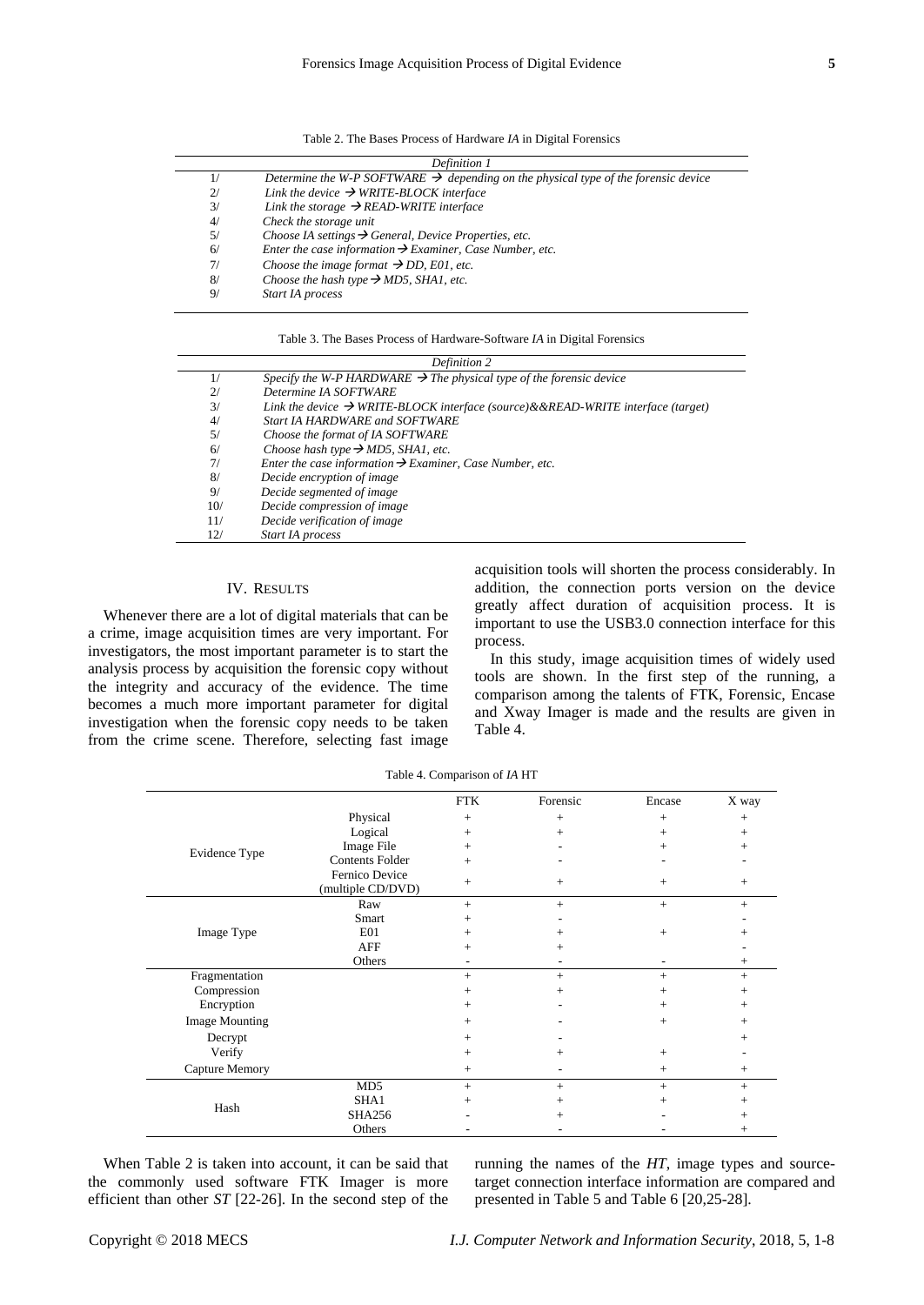| Table 2. The Bases Process of Hardware IA in Digital Forensics |  |  |  |  |  |  |  |  |  |  |
|----------------------------------------------------------------|--|--|--|--|--|--|--|--|--|--|
|----------------------------------------------------------------|--|--|--|--|--|--|--|--|--|--|

|    | Definition 1                                                                                   |  |  |  |  |  |
|----|------------------------------------------------------------------------------------------------|--|--|--|--|--|
| 1/ | Determine the W-P SOFTWARE $\rightarrow$ depending on the physical type of the forensic device |  |  |  |  |  |
| 2/ | Link the device $\rightarrow$ WRITE-BLOCK interface                                            |  |  |  |  |  |
| 3/ | Link the storage $\rightarrow$ READ-WRITE interface                                            |  |  |  |  |  |
| 4/ | Check the storage unit                                                                         |  |  |  |  |  |
| 5/ | Choose IA settings $\rightarrow$ General, Device Properties, etc.                              |  |  |  |  |  |
| 6/ | Enter the case information $\rightarrow$ Examiner, Case Number, etc.                           |  |  |  |  |  |
| 7/ | Choose the image format $\rightarrow$ DD, E01, etc.                                            |  |  |  |  |  |
| 8/ | Choose the hash type $\rightarrow$ MD5, SHA1, etc.                                             |  |  |  |  |  |
| 9/ | <b>Start IA</b> process                                                                        |  |  |  |  |  |

|     | Definition 2                                                                                |
|-----|---------------------------------------------------------------------------------------------|
| 1/  | Specify the W-P HARDWARE $\rightarrow$ The physical type of the forensic device             |
| 2/  | Determine IA SOFTWARE                                                                       |
| 3/  | Link the device $\rightarrow$ WRITE-BLOCK interface (source)&&READ-WRITE interface (target) |
| 4/  | <b>Start IA HARDWARE and SOFTWARE</b>                                                       |
| 5/  | Choose the format of IA SOFTWARE                                                            |
| 6/  | Choose hash type $\rightarrow$ MD5, SHA1, etc.                                              |
| 7/  | Enter the case information $\rightarrow$ Examiner, Case Number, etc.                        |
| 8/  | Decide encryption of image                                                                  |
| 9/  | Decide segmented of image                                                                   |
| 10/ | Decide compression of image                                                                 |
| 11/ | Decide verification of image                                                                |
| 12/ | Start IA process                                                                            |

# IV. RESULTS

Whenever there are a lot of digital materials that can be a crime, image acquisition times are very important. For investigators, the most important parameter is to start the analysis process by acquisition the forensic copy without the integrity and accuracy of the evidence. The time becomes a much more important parameter for digital investigation when the forensic copy needs to be taken from the crime scene. Therefore, selecting fast image acquisition tools will shorten the process considerably. In addition, the connection ports version on the device greatly affect duration of acquisition process. It is important to use the USB3.0 connection interface for this process.

In this study, image acquisition times of widely used tools are shown. In the first step of the running, a comparison among the talents of FTK, Forensic, Encase and Xway Imager is made and the results are given in Table 4.

|                       |                                     | <b>FTK</b>               | Forensic | Encase | X way  |
|-----------------------|-------------------------------------|--------------------------|----------|--------|--------|
|                       | Physical                            | $+$                      | $+$      | $+$    | $^{+}$ |
|                       | Logical                             | $+$                      | $+$      | $+$    | $^{+}$ |
| Evidence Type         | Image File                          | $+$                      |          | $^{+}$ | $^{+}$ |
|                       | <b>Contents Folder</b>              | $+$                      | ٠        |        |        |
|                       | Fernico Device<br>(multiple CD/DVD) | $+$                      | $^{+}$   | $+$    | $^{+}$ |
|                       | Raw                                 | $+$                      | $+$      | $+$    | $+$    |
|                       | Smart                               | $+$                      |          |        |        |
| Image Type            | E <sub>01</sub>                     | $+$                      | $^{+}$   | $+$    |        |
|                       | <b>AFF</b>                          | $+$                      | $^+$     |        |        |
|                       | Others                              | $\overline{\phantom{a}}$ | ۰        |        | $^{+}$ |
| Fragmentation         |                                     | $+$                      | $+$      | $+$    | $+$    |
| Compression           |                                     | $+$                      | $^{+}$   | $^{+}$ | $^+$   |
| Encryption            |                                     | $^{+}$                   |          | $+$    | $^+$   |
| <b>Image Mounting</b> |                                     | $+$                      |          | $+$    | $^{+}$ |
| Decrypt               |                                     | $^{+}$                   |          |        | $^+$   |
| Verify                |                                     | $+$                      | $^{+}$   | $^{+}$ |        |
| Capture Memory        |                                     | $+$                      |          | $+$    | $+$    |
|                       | MD <sub>5</sub>                     | $+$                      | $^{+}$   | $+$    | $+$    |
| Hash                  | SHA1                                | $+$                      | $+$      | $+$    | $^{+}$ |
|                       | <b>SHA256</b>                       |                          | $+$      |        | $^{+}$ |
|                       | Others                              |                          |          |        | $^{+}$ |

Table 4. Comparison of *IA* HT

When Table 2 is taken into account, it can be said that the commonly used software FTK Imager is more efficient than other *ST* [22-26]. In the second step of the running the names of the *HT*, image types and sourcetarget connection interface information are compared and presented in Table 5 and Table 6 [20,25-28].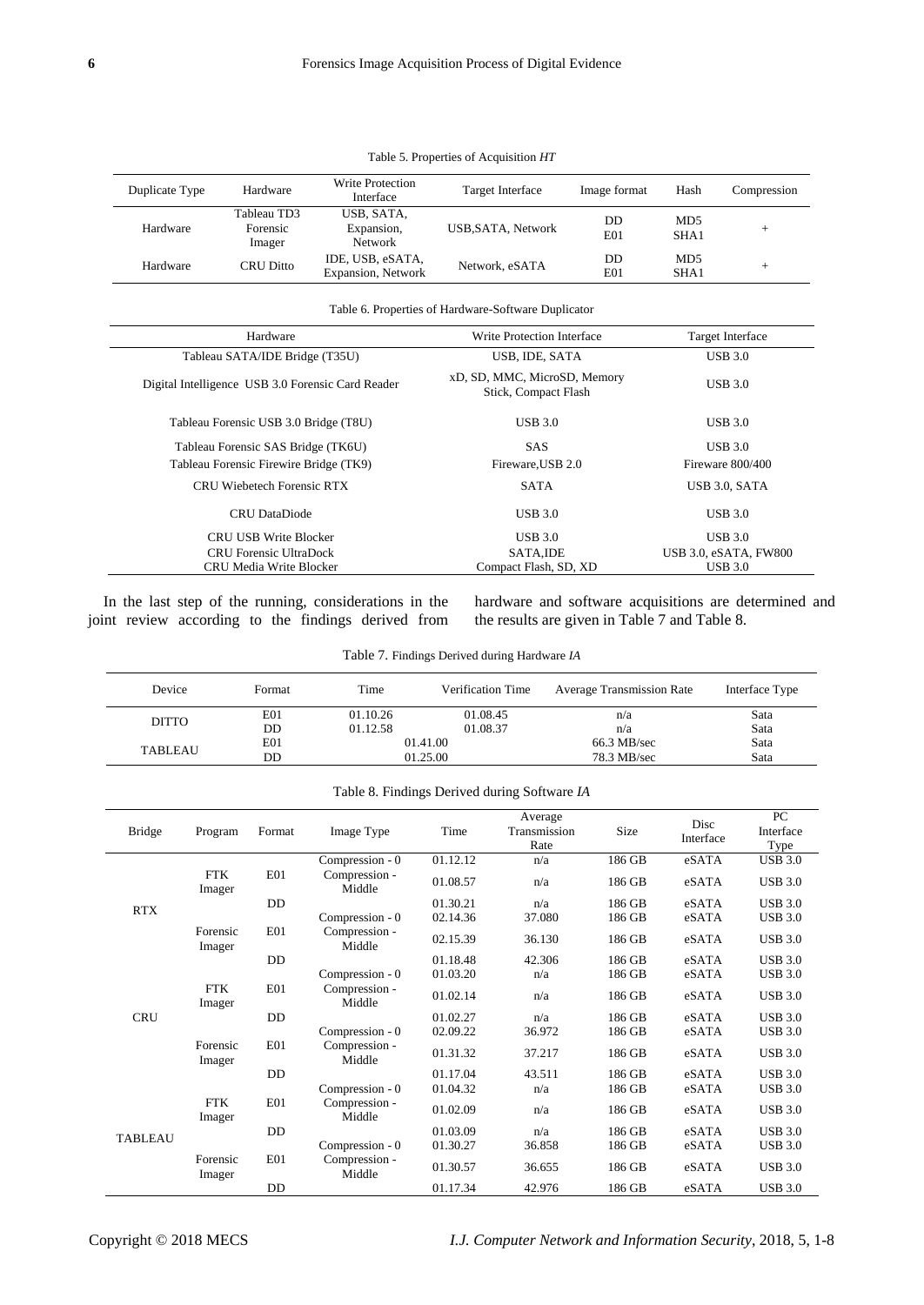## Table 5. Properties of Acquisition *HT*

| Duplicate Type | Hardware                          | Write Protection<br>Interface              | Target Interface   | Image format | Hash                    | Compression |
|----------------|-----------------------------------|--------------------------------------------|--------------------|--------------|-------------------------|-------------|
| Hardware       | Tableau TD3<br>Forensic<br>Imager | USB, SATA,<br>Expansion,<br><b>Network</b> | USB, SATA, Network | DD<br>E01    | MD <sub>5</sub><br>SHA1 | +           |
| Hardware       | CRU Ditto                         | IDE, USB, eSATA,<br>Expansion, Network     | Network, eSATA     | DD<br>E01    | MD <sub>5</sub><br>SHA1 | $^+$        |

## Table 6. Properties of Hardware-Software Duplicator

| Hardware                                          | Write Protection Interface                           | Target Interface             |  |
|---------------------------------------------------|------------------------------------------------------|------------------------------|--|
| Tableau SATA/IDE Bridge (T35U)                    | USB, IDE, SATA                                       | <b>USB 3.0</b>               |  |
| Digital Intelligence USB 3.0 Forensic Card Reader | xD, SD, MMC, MicroSD, Memory<br>Stick, Compact Flash | $UBB$ 3.0                    |  |
| Tableau Forensic USB 3.0 Bridge (T8U)             | $USB 3.0$                                            | <b>USB 3.0</b>               |  |
| Tableau Forensic SAS Bridge (TK6U)                | <b>SAS</b>                                           | <b>USB 3.0</b>               |  |
| Tableau Forensic Firewire Bridge (TK9)            | Fireware, USB 2.0                                    | Fireware 800/400             |  |
| <b>CRU Wiebetech Forensic RTX</b>                 | <b>SATA</b>                                          | USB 3.0, SATA                |  |
| <b>CRU</b> DataDiode                              | UBB3.0                                               | <b>USB 3.0</b>               |  |
| <b>CRU USB Write Blocker</b>                      | $USB 3.0$                                            | $UBB$ 3.0                    |  |
| <b>CRU</b> Forensic UltraDock                     | SATA.IDE                                             | <b>USB 3.0, eSATA, FW800</b> |  |
| CRU Media Write Blocker                           | Compact Flash, SD, XD                                | <b>USB 3.0</b>               |  |

In the last step of the running, considerations in the joint review according to the findings derived from hardware and software acquisitions are determined and the results are given in Table 7 and Table 8.

| Device | Format    | Time     | <b>Verification Time</b> | <b>Average Transmission Rate</b> | Interface Type |
|--------|-----------|----------|--------------------------|----------------------------------|----------------|
|        | E01       | 01.10.26 | 01.08.45                 | n/a                              | Sata           |
| DITTO  | <b>DD</b> | 01120    | 010027                   | $-1$                             | $C - 1$        |

E01 66.3 MB/sec Sata<br>TABLEAU E01 01.25.00 66.3 MB/sec Sata

Table 7. Findings Derived during Hardware *IA* 

Table 8. Findings Derived during Software *IA*

DD 01.12.58 01.08.37 n/a Sata

DD 01.25.00 78.3 MB/sec Sata

| <b>Bridge</b>  | Program              | Format     | Image Type              | Time     | Average<br>Transmission<br>Rate | Size   | Disc<br>Interface | PC<br>Interface<br>Type |
|----------------|----------------------|------------|-------------------------|----------|---------------------------------|--------|-------------------|-------------------------|
|                |                      |            | Compression - 0         | 01.12.12 | n/a                             | 186 GB | eSATA             | <b>USB 3.0</b>          |
|                | <b>FTK</b><br>Imager | <b>E01</b> | Compression -<br>Middle | 01.08.57 | n/a                             | 186 GB | eSATA             | <b>USB 3.0</b>          |
|                |                      | DD         |                         | 01.30.21 | n/a                             | 186 GB | eSATA             | <b>USB 3.0</b>          |
| <b>RTX</b>     |                      |            | Compression - 0         | 02.14.36 | 37.080                          | 186 GB | eSATA             | <b>USB 3.0</b>          |
|                | Forensic<br>Imager   | E01        | Compression -<br>Middle | 02.15.39 | 36.130                          | 186 GB | eSATA             | <b>USB 3.0</b>          |
|                |                      | DD         |                         | 01.18.48 | 42.306                          | 186 GB | eSATA             | <b>USB 3.0</b>          |
|                |                      |            | Compression - 0         | 01.03.20 | n/a                             | 186 GB | eSATA             | <b>USB 3.0</b>          |
|                | <b>FTK</b><br>Imager | <b>E01</b> | Compression -<br>Middle | 01.02.14 | n/a                             | 186 GB | eSATA             | <b>USB 3.0</b>          |
| <b>CRU</b>     |                      | DD         |                         | 01.02.27 | n/a                             | 186 GB | eSATA             | <b>USB 3.0</b>          |
|                |                      |            | Compression - 0         | 02.09.22 | 36.972                          | 186 GB | eSATA             | <b>USB 3.0</b>          |
|                | Forensic<br>Imager   | E01        | Compression -<br>Middle | 01.31.32 | 37.217                          | 186 GB | eSATA             | <b>USB 3.0</b>          |
|                |                      | DD         |                         | 01.17.04 | 43.511                          | 186 GB | eSATA             | <b>USB 3.0</b>          |
|                |                      |            | Compression - 0         | 01.04.32 | n/a                             | 186 GB | eSATA             | <b>USB 3.0</b>          |
| <b>TABLEAU</b> | <b>FTK</b><br>Imager | E01        | Compression -<br>Middle | 01.02.09 | n/a                             | 186 GB | eSATA             | <b>USB 3.0</b>          |
|                |                      | DD         |                         | 01.03.09 | n/a                             | 186 GB | eSATA             | <b>USB 3.0</b>          |
|                |                      |            | Compression - 0         | 01.30.27 | 36.858                          | 186 GB | eSATA             | <b>USB 3.0</b>          |
|                | Forensic<br>Imager   | E01        | Compression -<br>Middle | 01.30.57 | 36.655                          | 186 GB | eSATA             | <b>USB 3.0</b>          |
|                |                      | DD         |                         | 01.17.34 | 42.976                          | 186 GB | eSATA             | <b>USB 3.0</b>          |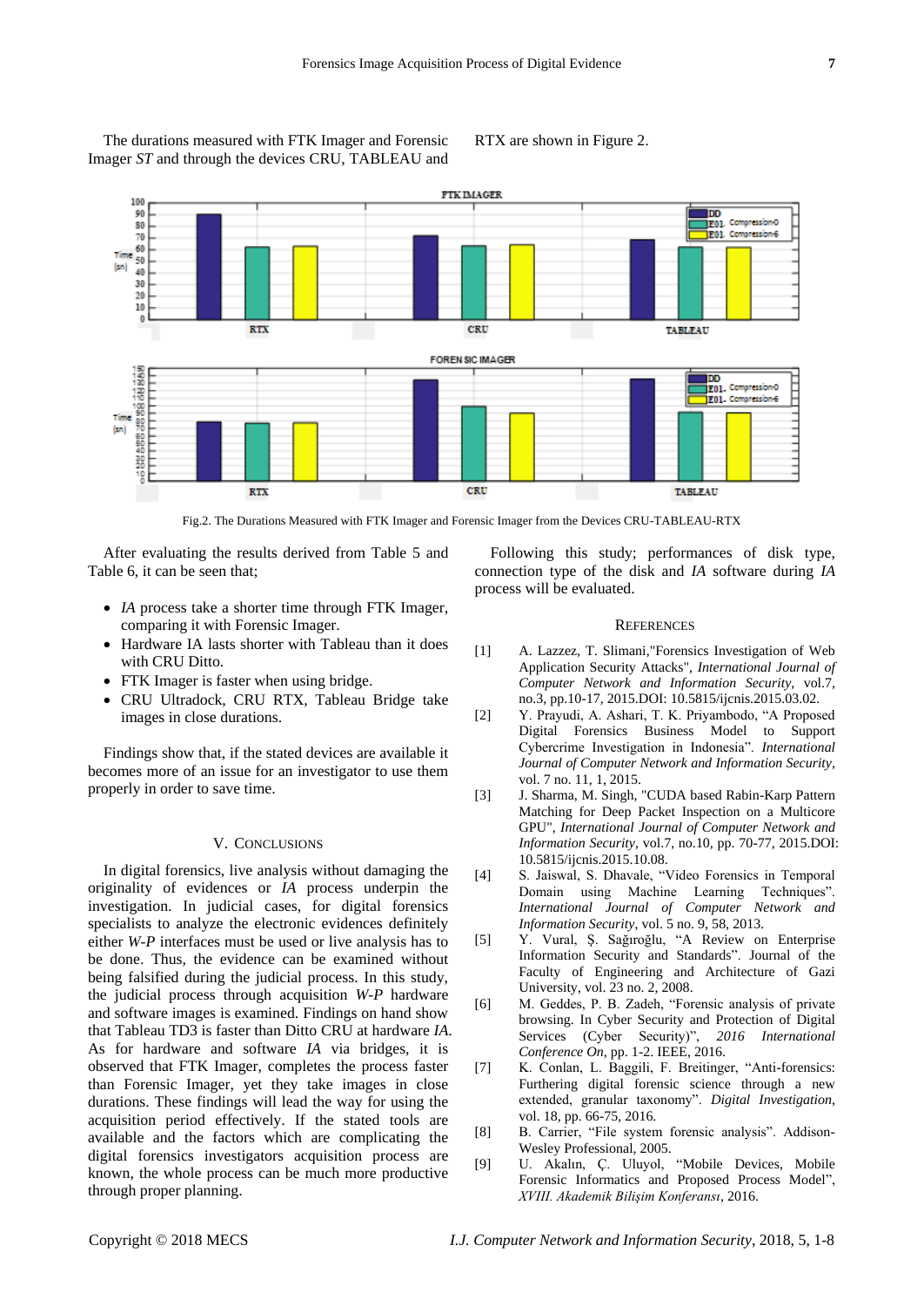The durations measured with FTK Imager and Forensic Imager *ST* and through the devices CRU, TABLEAU and

RTX are shown in Figure 2.



Fig.2. The Durations Measured with FTK Imager and Forensic Imager from the Devices CRU-TABLEAU-RTX

After evaluating the results derived from Table 5 and Table 6, it can be seen that;

- *IA* process take a shorter time through FTK Imager, comparing it with Forensic Imager.
- Hardware IA lasts shorter with Tableau than it does with CRU Ditto.
- FTK Imager is faster when using bridge.
- CRU Ultradock, CRU RTX, Tableau Bridge take images in close durations.

Findings show that, if the stated devices are available it becomes more of an issue for an investigator to use them properly in order to save time.

#### V. CONCLUSIONS

In digital forensics, live analysis without damaging the originality of evidences or *IA* process underpin the investigation. In judicial cases, for digital forensics specialists to analyze the electronic evidences definitely either *W-P* interfaces must be used or live analysis has to be done. Thus, the evidence can be examined without being falsified during the judicial process. In this study, the judicial process through acquisition *W-P* hardware and software images is examined. Findings on hand show that Tableau TD3 is faster than Ditto CRU at hardware *IA*. As for hardware and software *IA* via bridges, it is observed that FTK Imager, completes the process faster than Forensic Imager, yet they take images in close durations. These findings will lead the way for using the acquisition period effectively. If the stated tools are available and the factors which are complicating the digital forensics investigators acquisition process are known, the whole process can be much more productive through proper planning.

Following this study; performances of disk type, connection type of the disk and *IA* software during *IA* process will be evaluated.

## **REFERENCES**

- [1] A. Lazzez, T. Slimani,"Forensics Investigation of Web Application Security Attacks", *International Journal of Computer Network and Information Security*, vol.7, no.3, pp.10-17, 2015.DOI: 10.5815/ijcnis.2015.03.02.
- [2] Y. Prayudi, A. Ashari, T. K. Priyambodo, "A Proposed Digital Forensics Business Model to Support Cybercrime Investigation in Indonesia". *International Journal of Computer Network and Information Security*, vol. 7 no. 11, 1, 2015.
- [3] J. Sharma, M. Singh, "CUDA based Rabin-Karp Pattern Matching for Deep Packet Inspection on a Multicore GPU", *International Journal of Computer Network and Information Security*, vol.7, no.10, pp. 70-77, 2015.DOI: 10.5815/ijcnis.2015.10.08.
- [4] S. Jaiswal, S. Dhavale, "Video Forensics in Temporal Domain using Machine Learning Techniques". *International Journal of Computer Network and Information Security*, vol. 5 no. 9, 58, 2013.
- [5] Y. Vural, Ş. Sağıroğlu, "A Review on Enterprise Information Security and Standards". Journal of the Faculty of Engineering and Architecture of Gazi University, vol. 23 no. 2, 2008.
- [6] M. Geddes, P. B. Zadeh, "Forensic analysis of private browsing. In Cyber Security and Protection of Digital Services (Cyber Security)", *2016 International Conference On,* pp. 1-2. IEEE, 2016.
- [7] K. Conlan, L. Baggili, F. Breitinger, "Anti-forensics: Furthering digital forensic science through a new extended, granular taxonomy". *Digital Investigation*, vol. 18, pp. 66-75, 2016.
- [8] B. Carrier, "File system forensic analysis". Addison-Wesley Professional, 2005.
- [9] U. Akalın, Ç. Uluyol, "Mobile Devices, Mobile Forensic Informatics and Proposed Process Model", *XVIII. Akademik Bilişim Konferansı*, 2016.